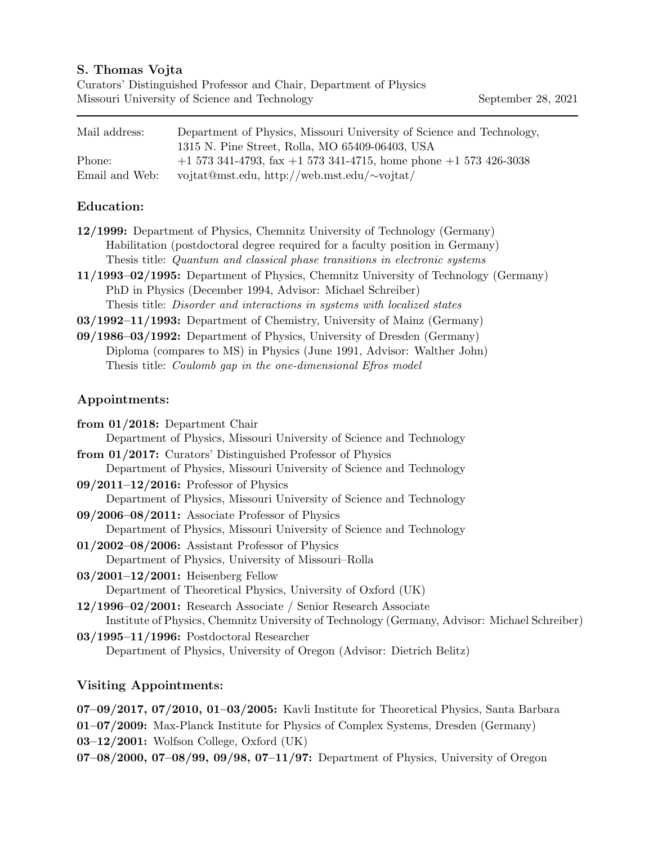#### S. Thomas Vojta

| Curators' Distinguished Professor and Chair, Department of Physics |  |
|--------------------------------------------------------------------|--|
| Missouri University of Science and Technology                      |  |

| Mail address: \ | Department of Physics, Missouri University of Science and Technology,<br>1315 N. Pine Street, Rolla, MO 65409-06403, USA |
|-----------------|--------------------------------------------------------------------------------------------------------------------------|
| Phone:          | $+1$ 573 341-4793, fax $+1$ 573 341-4715, home phone $+1$ 573 426-3038                                                   |
| Email and Web:  | vojtat@mst.edu, http://web.mst.edu/ $\sim$ vojtat/                                                                       |

#### Education:

- 12/1999: Department of Physics, Chemnitz University of Technology (Germany) Habilitation (postdoctoral degree required for a faculty position in Germany) Thesis title: Quantum and classical phase transitions in electronic systems
- 11/1993–02/1995: Department of Physics, Chemnitz University of Technology (Germany) PhD in Physics (December 1994, Advisor: Michael Schreiber) Thesis title: Disorder and interactions in systems with localized states
- 03/1992–11/1993: Department of Chemistry, University of Mainz (Germany)
- 09/1986–03/1992: Department of Physics, University of Dresden (Germany) Diploma (compares to MS) in Physics (June 1991, Advisor: Walther John) Thesis title: Coulomb gap in the one-dimensional Efros model

### Appointments:

| from $01/2018$ : Department Chair                                                             |
|-----------------------------------------------------------------------------------------------|
| Department of Physics, Missouri University of Science and Technology                          |
| from 01/2017: Curators' Distinguished Professor of Physics                                    |
| Department of Physics, Missouri University of Science and Technology                          |
| $09/2011-12/2016$ : Professor of Physics                                                      |
| Department of Physics, Missouri University of Science and Technology                          |
| $09/2006 - 08/2011$ : Associate Professor of Physics                                          |
| Department of Physics, Missouri University of Science and Technology                          |
| $01/2002-08/2006$ : Assistant Professor of Physics                                            |
| Department of Physics, University of Missouri–Rolla                                           |
| $03/2001-12/2001$ : Heisenberg Fellow                                                         |
| Department of Theoretical Physics, University of Oxford (UK)                                  |
| 12/1996–02/2001: Research Associate / Senior Research Associate                               |
| Institute of Physics, Chemnitz University of Technology (Germany, Advisor: Michael Schreiber) |
| $03/1995 - 11/1996$ : Postdoctoral Researcher                                                 |
| Department of Physics, University of Oregon (Advisor: Dietrich Belitz)                        |
|                                                                                               |

## Visiting Appointments:

- 07–09/2017, 07/2010, 01–03/2005: Kavli Institute for Theoretical Physics, Santa Barbara
- 01–07/2009: Max-Planck Institute for Physics of Complex Systems, Dresden (Germany) 03–12/2001: Wolfson College, Oxford (UK)
- 07–08/2000, 07–08/99, 09/98, 07–11/97: Department of Physics, University of Oregon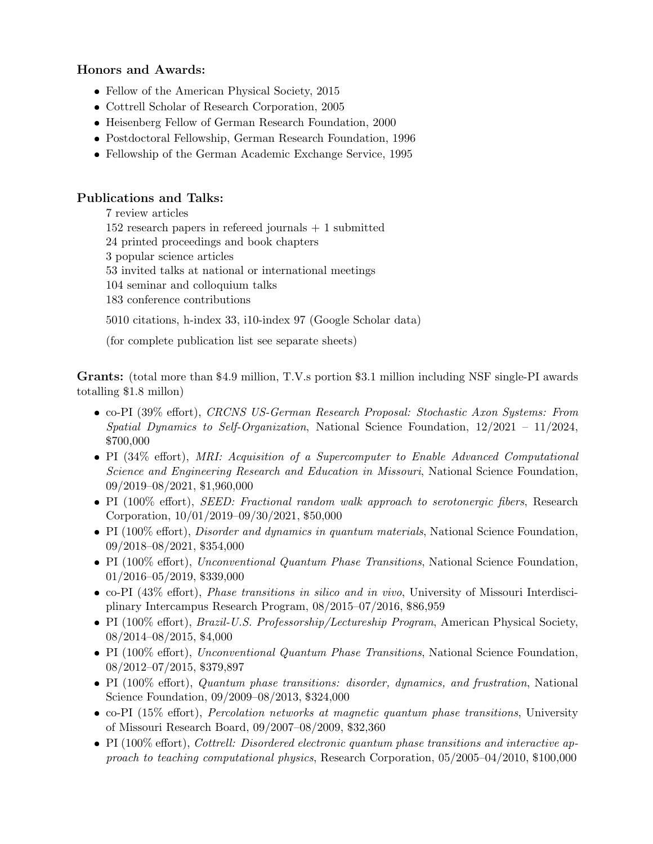## Honors and Awards:

- Fellow of the American Physical Society, 2015
- Cottrell Scholar of Research Corporation, 2005
- Heisenberg Fellow of German Research Foundation, 2000
- Postdoctoral Fellowship, German Research Foundation, 1996
- Fellowship of the German Academic Exchange Service, 1995

### Publications and Talks:

7 review articles  $152$  research papers in refereed journals  $+1$  submitted 24 printed proceedings and book chapters 3 popular science articles 53 invited talks at national or international meetings 104 seminar and colloquium talks 183 conference contributions

5010 citations, h-index 33, i10-index 97 (Google Scholar data)

(for complete publication list see separate sheets)

Grants: (total more than \$4.9 million, T.V.s portion \$3.1 million including NSF single-PI awards totalling \$1.8 millon)

- co-PI (39% effort), CRCNS US-German Research Proposal: Stochastic Axon Systems: From Spatial Dynamics to Self-Organization, National Science Foundation, 12/2021 – 11/2024, \$700,000
- PI (34% effort), MRI: Acquisition of a Supercomputer to Enable Advanced Computational Science and Engineering Research and Education in Missouri, National Science Foundation, 09/2019–08/2021, \$1,960,000
- PI (100% effort), *SEED:* Fractional random walk approach to serotonergic fibers, Research Corporation, 10/01/2019–09/30/2021, \$50,000
- PI (100% effort), *Disorder and dynamics in quantum materials*, National Science Foundation, 09/2018–08/2021, \$354,000
- PI (100% effort), Unconventional Quantum Phase Transitions, National Science Foundation, 01/2016–05/2019, \$339,000
- co-PI (43% effort), Phase transitions in silico and in vivo, University of Missouri Interdisciplinary Intercampus Research Program, 08/2015–07/2016, \$86,959
- PI (100% effort), *Brazil-U.S. Professorship/Lectureship Program*, American Physical Society, 08/2014–08/2015, \$4,000
- PI (100% effort), Unconventional Quantum Phase Transitions, National Science Foundation, 08/2012–07/2015, \$379,897
- PI (100% effort), Quantum phase transitions: disorder, dynamics, and frustration, National Science Foundation, 09/2009–08/2013, \$324,000
- co-PI (15% effort), Percolation networks at magnetic quantum phase transitions, University of Missouri Research Board, 09/2007–08/2009, \$32,360
- PI (100% effort), Cottrell: Disordered electronic quantum phase transitions and interactive approach to teaching computational physics, Research Corporation, 05/2005–04/2010, \$100,000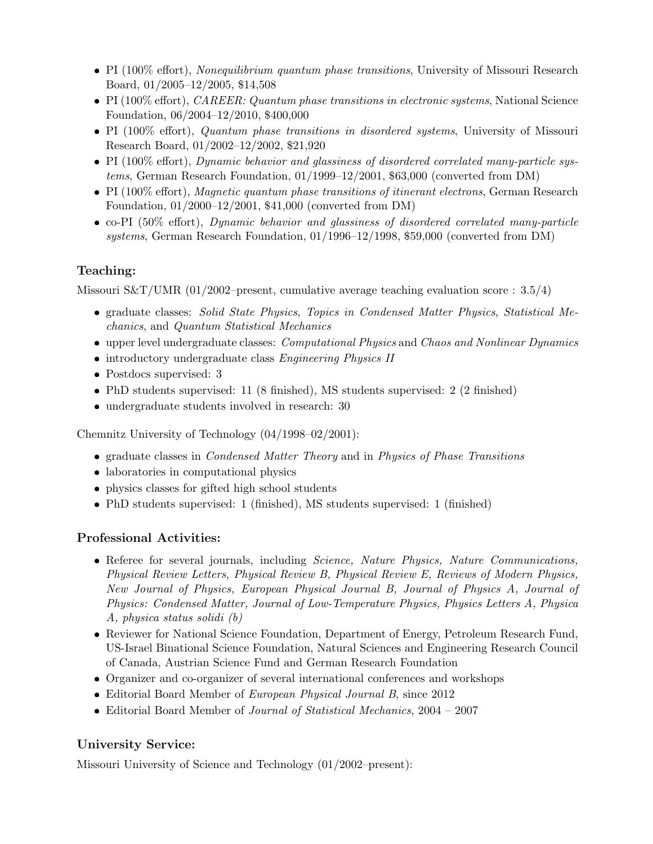- PI (100% effort), Nonequilibrium quantum phase transitions, University of Missouri Research Board, 01/2005–12/2005, \$14,508
- PI (100% effort), CAREER: Quantum phase transitions in electronic systems, National Science Foundation, 06/2004–12/2010, \$400,000
- PI (100% effort), Quantum phase transitions in disordered systems, University of Missouri Research Board, 01/2002–12/2002, \$21,920
- PI (100% effort), Dynamic behavior and glassiness of disordered correlated many-particle systems, German Research Foundation, 01/1999–12/2001, \$63,000 (converted from DM)
- PI (100% effort), Magnetic quantum phase transitions of itinerant electrons, German Research Foundation, 01/2000–12/2001, \$41,000 (converted from DM)
- co-PI (50% effort), Dynamic behavior and glassiness of disordered correlated many-particle systems, German Research Foundation, 01/1996–12/1998, \$59,000 (converted from DM)

# Teaching:

Missouri S&T/UMR (01/2002–present, cumulative average teaching evaluation score :  $3.5/4$ )

- graduate classes: Solid State Physics, Topics in Condensed Matter Physics, Statistical Mechanics, and Quantum Statistical Mechanics
- upper level undergraduate classes: *Computational Physics* and *Chaos and Nonlinear Dynamics*
- introductory undergraduate class Engineering Physics II
- Postdocs supervised: 3
- PhD students supervised: 11 (8 finished), MS students supervised: 2 (2 finished)
- undergraduate students involved in research: 30

Chemnitz University of Technology (04/1998–02/2001):

- graduate classes in *Condensed Matter Theory* and in *Physics of Phase Transitions*
- laboratories in computational physics
- physics classes for gifted high school students
- PhD students supervised: 1 (finished), MS students supervised: 1 (finished)

## Professional Activities:

- Referee for several journals, including *Science, Nature Physics, Nature Communications*, Physical Review Letters, Physical Review B, Physical Review E, Reviews of Modern Physics, New Journal of Physics, European Physical Journal B, Journal of Physics A, Journal of Physics: Condensed Matter, Journal of Low-Temperature Physics, Physics Letters A, Physica A, physica status solidi (b)
- Reviewer for National Science Foundation, Department of Energy, Petroleum Research Fund, US-Israel Binational Science Foundation, Natural Sciences and Engineering Research Council of Canada, Austrian Science Fund and German Research Foundation
- Organizer and co-organizer of several international conferences and workshops
- Editorial Board Member of *European Physical Journal B*, since 2012
- Editorial Board Member of Journal of Statistical Mechanics, 2004 2007

# University Service:

Missouri University of Science and Technology (01/2002–present):